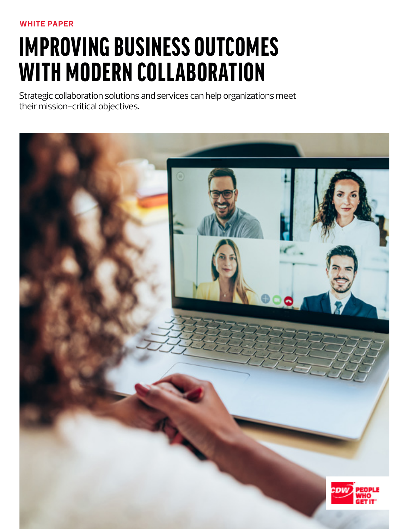# IMPROVING BUSINESS OUTCOMES WITH MODERN COLLABORATION

Strategic collaboration solutions and services can help organizations meet their mission-critical objectives.

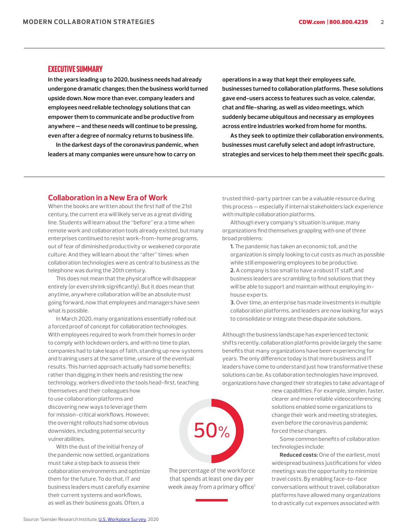#### EXECUTIVE SUMMARY

**In the years leading up to 2020, business needs had already undergone dramatic changes; then the business world turned upside down. Now more than ever, company leaders and employees need reliable technology solutions that can empower them to communicate and be productive from anywhere — and these needs will continue to be pressing, even after a degree of normalcy returns to business life.**

**In the darkest days of the coronavirus pandemic, when leaders at many companies were unsure how to carry on** 

**operations in a way that kept their employees safe, businesses turned to collaboration platforms. These solutions gave end-users access to features such as voice, calendar, chat and file-sharing, as well as video meetings, which suddenly became ubiquitous and necessary as employees across entire industries worked from home for months.**

**As they seek to optimize their collaboration environments, businesses must carefully select and adopt infrastructure, strategies and services to help them meet their specific goals.**

#### **Collaboration in a New Era of Work**

When the books are written about the first half of the 21st century, the current era will likely serve as a great dividing line. Students will learn about the "before" era: a time when remote work and collaboration tools already existed, but many enterprises continued to resist work-from-home programs, out of fear of diminished productivity or weakened corporate culture. And they will learn about the "after" times: when collaboration technologies were as central to business as the telephone was during the 20th century.

This does not mean that the physical office will disappear entirely (or even shrink significantly). But it does mean that anytime, anywhere collaboration will be an absolute must going forward, now that employees and managers have seen what is possible.

In March 2020, many organizations essentially rolled out a forced proof of concept for collaboration technologies. With employees required to work from their homes in order to comply with lockdown orders, and with no time to plan, companies had to take leaps of faith, standing up new systems and training users at the same time, unsure of the eventual results. This harried approach actually had some benefits; rather than digging in their heels and resisting the new technology, workers dived into the tools head-first, teaching

themselves and their colleagues how to use collaboration platforms and discovering new ways to leverage them for mission-critical workflows. However, the overnight rollouts had some obvious downsides, including potential security vulnerabilities.

With the dust of the initial frenzy of the pandemic now settled, organizations must take a step back to assess their collaboration environments and optimize them for the future. To do that, IT and business leaders must carefully examine their current systems and workflows, as well as their business goals. Often, a

trusted third-party partner can be a valuable resource during this process — especially if internal stakeholders lack experience with multiple collaboration platforms.

Although every company's situation is unique, many organizations find themselves grappling with one of three broad problems:

**1.** The pandemic has taken an economic toll, and the organization is simply looking to cut costs as much as possible while still empowering employees to be productive.

**2.** A company is too small to have a robust IT staff, and business leaders are scrambling to find solutions that they will be able to support and maintain without employing inhouse experts.

**3.** Over time, an enterprise has made investments in multiple collaboration platforms, and leaders are now looking for ways to consolidate or integrate these disparate solutions.

Although the business landscape has experienced tectonic shifts recently, collaboration platforms provide largely the same benefits that many organizations have been experiencing for years. The only difference today is that more business and IT leaders have come to understand just how transformative these solutions can be. As collaboration technologies have improved, organizations have changed their strategies to take advantage of



The percentage of the workforce that spends at least one day per week away from a primary office<sup>1</sup> new capabilities. For example, simpler, faster, clearer and more reliable videoconferencing solutions enabled some organizations to change their work and meeting strategies, even before the coronavirus pandemic forced these changes.

Some common benefits of collaboration technologies include:

**Reduced costs:** One of the earliest, most widespread business justifications for video meetings was the opportunity to minimize travel costs. By enabling face-to-face conversations without travel, collaboration platforms have allowed many organizations to drastically cut expenses associated with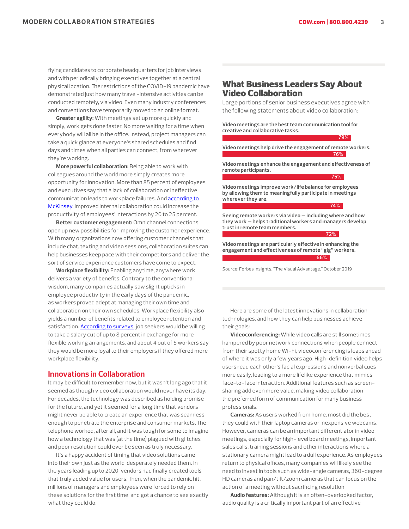**79%**

flying candidates to corporate headquarters for job interviews, and with periodically bringing executives together at a central physical location. The restrictions of the COVID-19 pandemic have demonstrated just how many travel-intensive activities can be conducted remotely, via video. Even many industry conferences and conventions have temporarily moved to an online format.

**Greater agility:** With meetings set up more quickly and simply, work gets done faster. No more waiting for a time when everybody will all be in the office. Instead, project managers can take a quick glance at everyone's shared schedules and find days and times when all parties can connect, from wherever they're working.

**More powerful collaboration:** Being able to work with colleagues around the world more simply creates more opportunity for innovation. More than 85 percent of employees and executives say that a lack of collaboration or ineffective communication leads to workplace failures. And **according to** [McKinsey,](https://www.mckinsey.com/industries/technology-media-and-telecommunications/our-insights/the-social-economy) improved internal collaboration could increase the productivity of employees' interactions by 20 to 25 percent.

**Better customer engagement:** Omnichannel connections open up new possibilities for improving the customer experience. With many organizations now offering customer channels that include chat, texting and video sessions, collaboration suites can help businesses keep pace with their competitors and deliver the sort of service experience customers have come to expect.

**Workplace flexibility:** Enabling anytime, anywhere work delivers a variety of benefits. Contrary to the conventional wisdom, many companies actually saw slight upticks in employee productivity in the early days of the pandemic, as workers proved adept at managing their own time and collaboration on their own schedules. Workplace flexibility also yields a number of benefits related to employee retention and satisfaction. **According to surveys**, job seekers would be willing to take a salary cut of up to 8 percent in exchange for more flexible working arrangements, and about 4 out of 5 workers say they would be more loyal to their employers if they offered more workplace flexibility.

#### **Innovations in Collaboration**

It may be difficult to remember now, but it wasn't long ago that it seemed as though video collaboration would never have its day. For decades, the technology was described as holding promise for the future, and yet it seemed for a long time that vendors might never be able to create an experience that was seamless enough to penetrate the enterprise and consumer markets. The telephone worked, after all, and it was tough for some to imagine how a technology that was (at the time) plagued with glitches and poor resolution could ever be seen as truly necessary.

It's a happy accident of timing that video solutions came into their own just as the world desperately needed them. In the years leading up to 2020, vendors had finally created tools that truly added value for users. Then, when the pandemic hit, millions of managers and employees were forced to rely on these solutions for the first time, and got a chance to see exactly what they could do.

# What Business Leaders Say About Video Collaboration

Large portions of senior business executives agree with the following statements about video collaboration:

**Video meetings are the best team communication tool for creative and collaborative tasks.**

**Video meetings help drive the engagement of remote workers. 76%**

**Video meetings enhance the engagement and effectiveness of remote participants.**

**Video meetings improve work/life balance for employees by allowing them to meaningfully participate in meetings wherever they are.**

**Seeing remote workers via video — including where and how they work — helps traditional workers and managers develop trust in remote team members.**

**72%**

**75%**

**74%**

**Video meetings are particularly effective in enhancing the engagement and effectiveness of remote "gig" workers. 66%**

Source: Forbes Insights, "The Visual Advantage," October 2019

Here are some of the latest innovations in collaboration technologies, and how they can help businesses achieve their goals:

**Videoconferencing:** While video calls are still sometimes hampered by poor network connections when people connect from their spotty home Wi-Fi, videoconferencing is leaps ahead of where it was only a few years ago. High-definition video helps users read each other's facial expressions and nonverbal cues more easily, leading to a more lifelike experience that mimics face-to-face interaction. Additional features such as screensharing add even more value, making video collaboration the preferred form of communication for many business professionals.

**Cameras:** As users worked from home, most did the best they could with their laptop cameras or inexpensive webcams. However, cameras can be an important differentiator in video meetings, especially for high-level board meetings, important sales calls, training sessions and other interactions where a stationary camera might lead to a dull experience. As employees return to physical offices, many companies will likely see the need to invest in tools such as wide-angle cameras, 360-degree HD cameras and pan/tilt/zoom cameras that can focus on the action of a meeting without sacrificing resolution.

**Audio features:** Although it is an often-overlooked factor, audio quality is a critically important part of an effective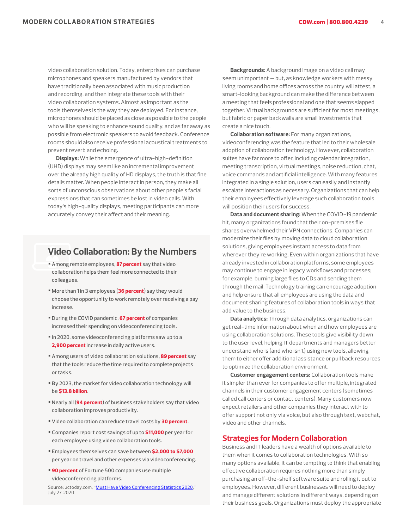video collaboration solution. Today, enterprises can purchase microphones and speakers manufactured by vendors that have traditionally been associated with music production and recording, and then integrate these tools with their video collaboration systems. Almost as important as the tools themselves is the way they are deployed. For instance, microphones should be placed as close as possible to the people who will be speaking to enhance sound quality, and as far away as possible from electronic speakers to avoid feedback. Conference rooms should also receive professional acoustical treatments to prevent reverb and echoing.

**Displays:** While the emergence of ultra-high-definition (UHD) displays may seem like an incremental improvement over the already high quality of HD displays, the truth is that fine details matter. When people interact in person, they make all sorts of unconscious observations about other people's facial expressions that can sometimes be lost in video calls. With today's high-quality displays, meeting participants can more accurately convey their affect and their meaning.

# **Video Collaboration: By the Numbers**

- Among remote employees, 87 percent say that video collaboration helps them feel more connected to their colleagues.
- More than 1 in 3 employees (36 percent) say they would choose the opportunity to work remotely over receiving a pay increase.
- During the COVID pandemic, 67 percent of companies increased their spending on videoconferencing tools.
- In 2020, some videoconferencing platforms saw up to a 2,900 percent increase in daily active users.
- Among users of video collaboration solutions, 89 percent say that the tools reduce the time required to complete projects or tasks.
- By 2023, the market for video collaboration technology will be \$13.8 billion.
- Nearly all (94 percent) of business stakeholders say that video collaboration improves productivity.
- Video collaboration can reduce travel costs by 30 percent.
- Companies report cost savings of up to \$11,000 per year for each employee using video collaboration tools.
- Employees themselves can save between \$2,000 to \$7,000 per year on travel and other expenses via videoconferencing.
- 90 percent of Fortune 500 companies use multiple videoconferencing platforms.

Source: uctoday.com, ["Must Have Video Conferencing Statistics 2020,](https://www.uctoday.com/collaboration/video-conferencing/video-conferencing-statistics/)" July 27, 2020

**Backgrounds:** A background image on a video call may seem unimportant — but, as knowledge workers with messy living rooms and home offices across the country will attest, a smart-looking background can make the difference between a meeting that feels professional and one that seems slapped together. Virtual backgrounds are sufficient for most meetings, but fabric or paper backwalls are small investments that create a nice touch.

**Collaboration software:** For many organizations, videoconferencing was the feature that led to their wholesale adoption of collaboration technology. However, collaboration suites have far more to offer, including calendar integration, meeting transcription, virtual meetings, noise reduction, chat, voice commands and artificial intelligence. With many features integrated in a single solution, users can easily and instantly escalate interactions as necessary. Organizations that can help their employees effectively leverage such collaboration tools will position their users for success.

**Data and document sharing:** When the COVID-19 pandemic hit, many organizations found that their on-premises file shares overwhelmed their VPN connections. Companies can modernize their files by moving data to cloud collaboration solutions, giving employees instant access to data from wherever they're working. Even within organizations that have already invested in collaboration platforms, some employees may continue to engage in legacy workflows and processes; for example, burning large files to CDs and sending them through the mail. Technology training can encourage adoption and help ensure that all employees are using the data and document sharing features of collaboration tools in ways that add value to the business.

**Data analytics:** Through data analytics, organizations can get real-time information about when and how employees are using collaboration solutions. These tools give visibility down to the user level, helping IT departments and managers better understand who is (and who isn't) using new tools, allowing them to either offer additional assistance or pull back resources to optimize the collaboration environment.

**Customer engagement centers:** Collaboration tools make it simpler than ever for companies to offer multiple, integrated channels in their customer engagement centers (sometimes called call centers or contact centers). Many customers now expect retailers and other companies they interact with to offer support not only via voice, but also through text, webchat, video and other channels.

#### **Strategies for Modern Collaboration**

Business and IT leaders have a wealth of options available to them when it comes to collaboration technologies. With so many options available, it can be tempting to think that enabling effective collaboration requires nothing more than simply purchasing an off-the-shelf software suite and rolling it out to employees. However, different businesses will need to deploy and manage different solutions in different ways, depending on their business goals. Organizations must deploy the appropriate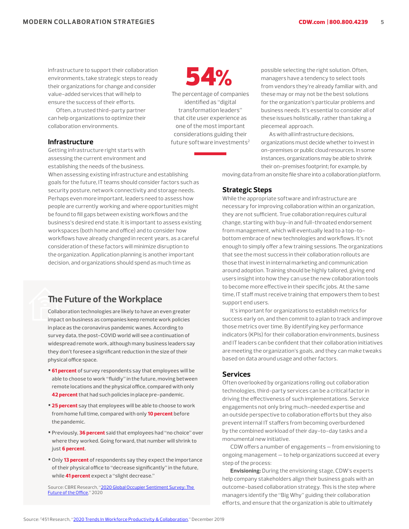infrastructure to support their collaboration environments, take strategic steps to ready their organizations for change and consider value-added services that will help to ensure the success of their efforts.

Often, a trusted third-party partner can help organizations to optimize their collaboration environments.

#### **Infrastructure**

Getting infrastructure right starts with assessing the current environment and establishing the needs of the business.

When assessing existing infrastructure and establishing goals for the future, IT teams should consider factors such as security posture, network connectivity and storage needs. Perhaps even more important, leaders need to assess how people are currently working and where opportunities might be found to fill gaps between existing workflows and the business's desired end state. It is important to assess existing workspaces (both home and office) and to consider how workflows have already changed in recent years, as a careful consideration of these factors will minimize disruption to the organization. Application planning is another important decision, and organizations should spend as much time as

## **The Future of the Workplace**

Collaboration technologies are likely to have an even greater impact on business as companies keep remote work policies in place as the coronavirus pandemic wanes. According to survey data, the post-COVID world will see a continuation of widespread remote work, although many business leaders say they don't foresee a significant reduction in the size of their physical office space.

- 61 percent of survey respondents say that employees will be able to choose to work "fluidly" in the future, moving between remote locations and the physical office, compared with only 42 percent that had such policies in place pre-pandemic.
- 25 percent say that employees will be able to choose to work from home full time, compared with only 10 percent before the pandemic.
- Previously, 36 percent said that employees had "no choice" over where they worked. Going forward, that number will shrink to just 6 percent.
- Only 13 percent of respondents say they expect the importance of their physical office to "decrease significantly" in the future, while 41 percent expect a "slight decrease."

Source: CBRE Research, ["2020 Global Occupier Sentiment Survey: The](https://www.cbre.com/thewayforward/the-future-of-the-office?article=%7B8981f106-ebe6-4aef-a42d-78ec2223bdbf%7D)  [Future of the Office,](https://www.cbre.com/thewayforward/the-future-of-the-office?article=%7B8981f106-ebe6-4aef-a42d-78ec2223bdbf%7D)" 2020



The percentage of companies identified as "digital transformation leaders" that cite user experience as one of the most important considerations guiding their future software investments<sup>2</sup> possible selecting the right solution. Often, managers have a tendency to select tools from vendors they're already familiar with, and these may or may not be the best solutions for the organization's particular problems and business needs. It's essential to consider all of these issues holistically, rather than taking a piecemeal approach.

As with all infrastructure decisions, organizations must decide whether to invest in on-premises or public cloud resources. In some instances, organizations may be able to shrink their on-premises footprint; for example, by

moving data from an onsite file share into a collaboration platform.

#### **Strategic Steps**

While the appropriate software and infrastructure are necessary for improving collaboration within an organization, they are not sufficient. True collaboration requires cultural change, starting with buy-in and full-throated endorsement from management, which will eventually lead to a top-tobottom embrace of new technologies and workflows. It's not enough to simply offer a few training sessions. The organizations that see the most success in their collaboration rollouts are those that invest in internal marketing and communication around adoption. Training should be highly tailored, giving end users insight into how they can use the new collaboration tools to become more effective in their specific jobs. At the same time, IT staff must receive training that empowers them to best support end users.

It's important for organizations to establish metrics for success early on, and then commit to a plan to track and improve those metrics over time. By identifying key performance indicators (KPIs) for their collaboration environments, business and IT leaders can be confident that their collaboration initiatives are meeting the organization's goals, and they can make tweaks based on data around usage and other factors.

#### **Services**

Often overlooked by organizations rolling out collaboration technologies, third-party services can be a critical factor in driving the effectiveness of such implementations. Service engagements not only bring much-needed expertise and an outside perspective to collaboration efforts but they also prevent internal IT staffers from becoming overburdened by the combined workload of their day-to-day tasks and a monumental new initiative.

CDW offers a number of engagements — from envisioning to ongoing management — to help organizations succeed at every step of the process:

**Envisioning:** During the envisioning stage, CDW's experts help company stakeholders align their business goals with an outcome-based collaboration strategy. This is the step where managers identify the "Big Why" guiding their collaboration efforts, and ensure that the organization is able to ultimately